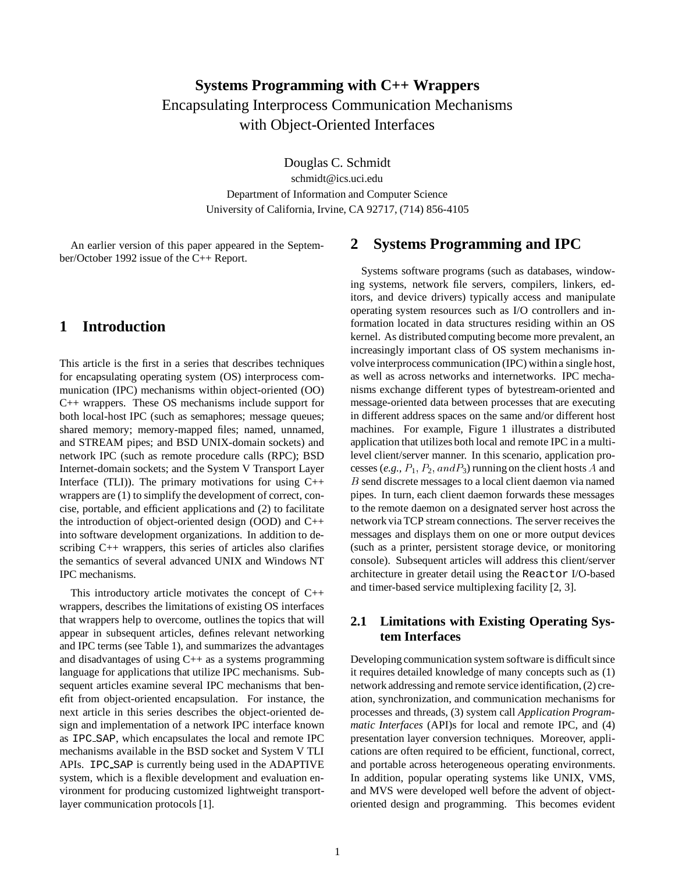# **Systems Programming with C++ Wrappers** Encapsulating Interprocess Communication Mechanisms with Object-Oriented Interfaces

Douglas C. Schmidt

schmidt@ics.uci.edu Department of Information and Computer Science University of California, Irvine, CA 92717, (714) 856-4105

An earlier version of this paper appeared in the September/October 1992 issue of the C++ Report.

## **1 Introduction**

This article is the first in a series that describes techniques for encapsulating operating system (OS) interprocess communication (IPC) mechanisms within object-oriented (OO) C++ wrappers. These OS mechanisms include support for both local-host IPC (such as semaphores; message queues; shared memory; memory-mapped files; named, unnamed, and STREAM pipes; and BSD UNIX-domain sockets) and network IPC (such as remote procedure calls (RPC); BSD Internet-domain sockets; and the System V Transport Layer Interface (TLI)). The primary motivations for using  $C++$ wrappers are (1) to simplify the development of correct, concise, portable, and efficient applications and (2) to facilitate the introduction of object-oriented design (OOD) and C++ into software development organizations. In addition to describing C++ wrappers, this series of articles also clarifies the semantics of several advanced UNIX and Windows NT IPC mechanisms.

This introductory article motivates the concept of C++ wrappers, describes the limitations of existing OS interfaces that wrappers help to overcome, outlines the topics that will appear in subsequent articles, defines relevant networking and IPC terms (see Table 1), and summarizes the advantages and disadvantages of using  $C++$  as a systems programming language for applications that utilize IPC mechanisms. Subsequent articles examine several IPC mechanisms that benefit from object-oriented encapsulation. For instance, the next article in this series describes the object-oriented design and implementation of a network IPC interface known as IPC SAP, which encapsulates the local and remote IPC mechanisms available in the BSD socket and System V TLI APIs. IPC SAP is currently being used in the ADAPTIVE system, which is a flexible development and evaluation environment for producing customized lightweight transportlayer communication protocols [1].

## **2 Systems Programming and IPC**

Systems software programs (such as databases, windowing systems, network file servers, compilers, linkers, editors, and device drivers) typically access and manipulate operating system resources such as I/O controllers and information located in data structures residing within an OS kernel. As distributed computing become more prevalent, an increasingly important class of OS system mechanisms involve interprocess communication (IPC) withina single host, as well as across networks and internetworks. IPC mechanisms exchange different types of bytestream-oriented and message-oriented data between processes that are executing in different address spaces on the same and/or different host machines. For example, Figure 1 illustrates a distributed application that utilizes both local and remote IPC in a multilevel client/server manner. In this scenario, application processes (*e.g.,*  $P_1$ ,  $P_2$ ,  $and P_3$ ) running on the client hosts A and B send discrete messages to a local client daemon via named pipes. In turn, each client daemon forwards these messages to the remote daemon on a designated server host across the network via TCP stream connections. The server receives the messages and displays them on one or more output devices (such as a printer, persistent storage device, or monitoring console). Subsequent articles will address this client/server architecture in greater detail using the Reactor I/O-based and timer-based service multiplexing facility [2, 3].

#### **2.1 Limitations with Existing Operating System Interfaces**

Developing communication system software is difficult since it requires detailed knowledge of many concepts such as (1) network addressing and remote service identification, (2) creation, synchronization, and communication mechanisms for processes and threads, (3) system call *Application Programmatic Interfaces* (API)s for local and remote IPC, and (4) presentation layer conversion techniques. Moreover, applications are often required to be efficient, functional, correct, and portable across heterogeneous operating environments. In addition, popular operating systems like UNIX, VMS, and MVS were developed well before the advent of objectoriented design and programming. This becomes evident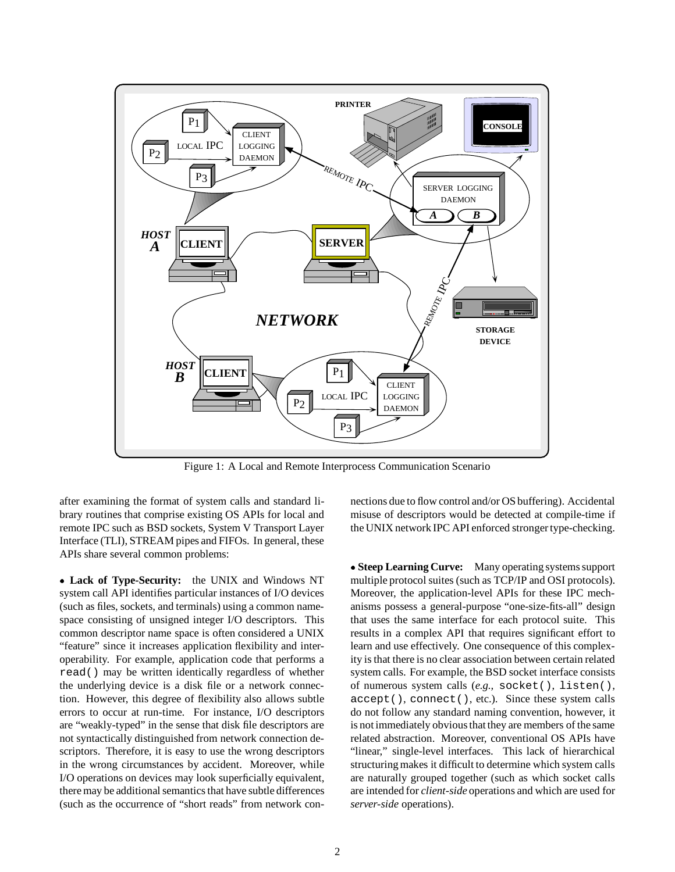

Figure 1: A Local and Remote Interprocess Communication Scenario

after examining the format of system calls and standard library routines that comprise existing OS APIs for local and remote IPC such as BSD sockets, System V Transport Layer Interface (TLI), STREAM pipes and FIFOs. In general, these APIs share several common problems:

 **Lack of Type-Security:** the UNIX and Windows NT system call API identifies particular instances of I/O devices (such as files, sockets, and terminals) using a common namespace consisting of unsigned integer I/O descriptors. This common descriptor name space is often considered a UNIX "feature" since it increases application flexibility and interoperability. For example, application code that performs a read() may be written identically regardless of whether the underlying device is a disk file or a network connection. However, this degree of flexibility also allows subtle errors to occur at run-time. For instance, I/O descriptors are "weakly-typed" in the sense that disk file descriptors are not syntactically distinguished from network connection descriptors. Therefore, it is easy to use the wrong descriptors in the wrong circumstances by accident. Moreover, while I/O operations on devices may look superficially equivalent, there may be additional semantics that have subtle differences (such as the occurrence of "short reads" from network connections due to flow control and/or OS buffering). Accidental misuse of descriptors would be detected at compile-time if the UNIX network IPC API enforced stronger type-checking.

 **Steep Learning Curve:** Many operating systems support multiple protocol suites (such as TCP/IP and OSI protocols). Moreover, the application-level APIs for these IPC mechanisms possess a general-purpose "one-size-fits-all" design that uses the same interface for each protocol suite. This results in a complex API that requires significant effort to learn and use effectively. One consequence of this complexity is that there is no clear association between certain related system calls. For example, the BSD socket interface consists of numerous system calls (*e.g.,* socket(), listen(), accept(), connect(), etc.). Since these system calls do not follow any standard naming convention, however, it is not immediately obvious that they are members of the same related abstraction. Moreover, conventional OS APIs have "linear," single-level interfaces. This lack of hierarchical structuring makes it difficult to determine which system calls are naturally grouped together (such as which socket calls are intended for *client-side* operations and which are used for *server-side* operations).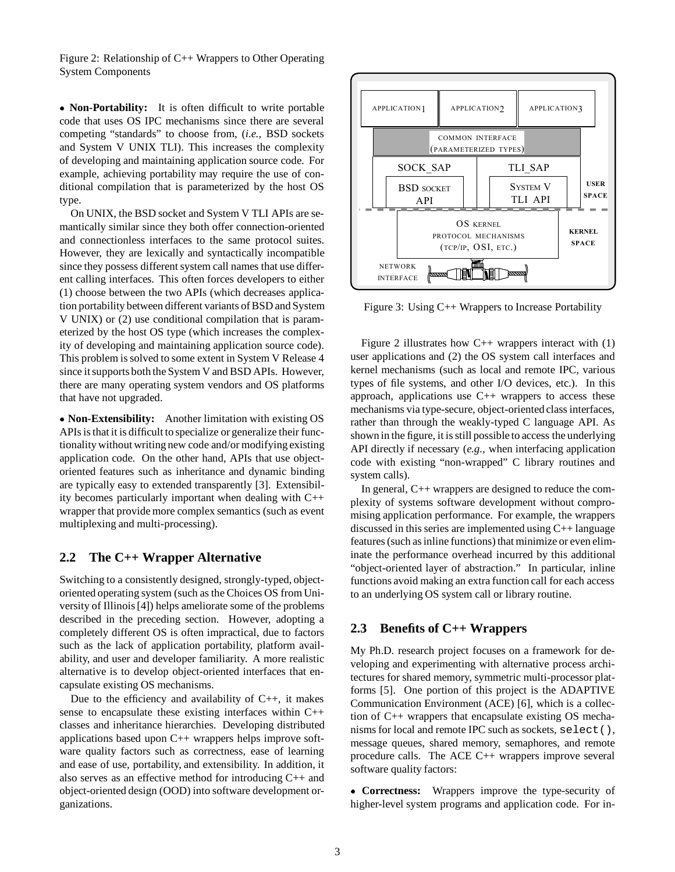Figure 2: Relationship of C++ Wrappers to Other Operating System Components

 **Non-Portability:** It is often difficult to write portable code that uses OS IPC mechanisms since there are several competing "standards" to choose from, (*i.e.,* BSD sockets and System V UNIX TLI). This increases the complexity of developing and maintaining application source code. For example, achieving portability may require the use of conditional compilation that is parameterized by the host OS type.

On UNIX, the BSD socket and System V TLI APIs are semantically similar since they both offer connection-oriented and connectionless interfaces to the same protocol suites. However, they are lexically and syntactically incompatible since they possess different system call names that use different calling interfaces. This often forces developers to either (1) choose between the two APIs (which decreases application portability between different variants of BSD and System V UNIX) or (2) use conditional compilation that is parameterized by the host OS type (which increases the complexity of developing and maintaining application source code). This problem is solved to some extent in System V Release 4 since it supports both the System V and BSD APIs. However, there are many operating system vendors and OS platforms that have not upgraded.

 **Non-Extensibility:** Another limitation with existing OS APIs is that it is difficult to specialize or generalize their functionality without writing new code and/or modifying existing application code. On the other hand, APIs that use objectoriented features such as inheritance and dynamic binding are typically easy to extended transparently [3]. Extensibility becomes particularly important when dealing with C++ wrapper that provide more complex semantics (such as event multiplexing and multi-processing).

#### **2.2 The C++ Wrapper Alternative**

Switching to a consistently designed, strongly-typed, objectoriented operating system (such as the Choices OS from University of Illinois [4]) helps ameliorate some of the problems described in the preceding section. However, adopting a completely different OS is often impractical, due to factors such as the lack of application portability, platform availability, and user and developer familiarity. A more realistic alternative is to develop object-oriented interfaces that encapsulate existing OS mechanisms.

Due to the efficiency and availability of  $C_{++}$ , it makes sense to encapsulate these existing interfaces within C++ classes and inheritance hierarchies. Developing distributed applications based upon  $C++$  wrappers helps improve software quality factors such as correctness, ease of learning and ease of use, portability, and extensibility. In addition, it also serves as an effective method for introducing C++ and object-oriented design (OOD) into software development organizations.



Figure 3: Using C++ Wrappers to Increase Portability

Figure 2 illustrates how  $C_{++}$  wrappers interact with (1) user applications and (2) the OS system call interfaces and kernel mechanisms (such as local and remote IPC, various types of file systems, and other I/O devices, etc.). In this approach, applications use  $C++$  wrappers to access these mechanisms via type-secure, object-oriented class interfaces, rather than through the weakly-typed C language API. As shown in the figure, it is still possible to access the underlying API directly if necessary (*e.g.,* when interfacing application code with existing "non-wrapped" C library routines and system calls).

In general, C++ wrappers are designed to reduce the complexity of systems software development without compromising application performance. For example, the wrappers discussed in this series are implemented using C++ language features (such as inline functions) that minimize or even eliminate the performance overhead incurred by this additional "object-oriented layer of abstraction." In particular, inline functions avoid making an extra function call for each access to an underlying OS system call or library routine.

#### **2.3 Benefits of C++ Wrappers**

My Ph.D. research project focuses on a framework for developing and experimenting with alternative process architectures for shared memory, symmetric multi-processor platforms [5]. One portion of this project is the ADAPTIVE Communication Environment (ACE) [6], which is a collection of C++ wrappers that encapsulate existing OS mechanisms for local and remote IPC such as sockets, select(), message queues, shared memory, semaphores, and remote procedure calls. The ACE C++ wrappers improve several software quality factors:

 **Correctness:** Wrappers improve the type-security of higher-level system programs and application code. For in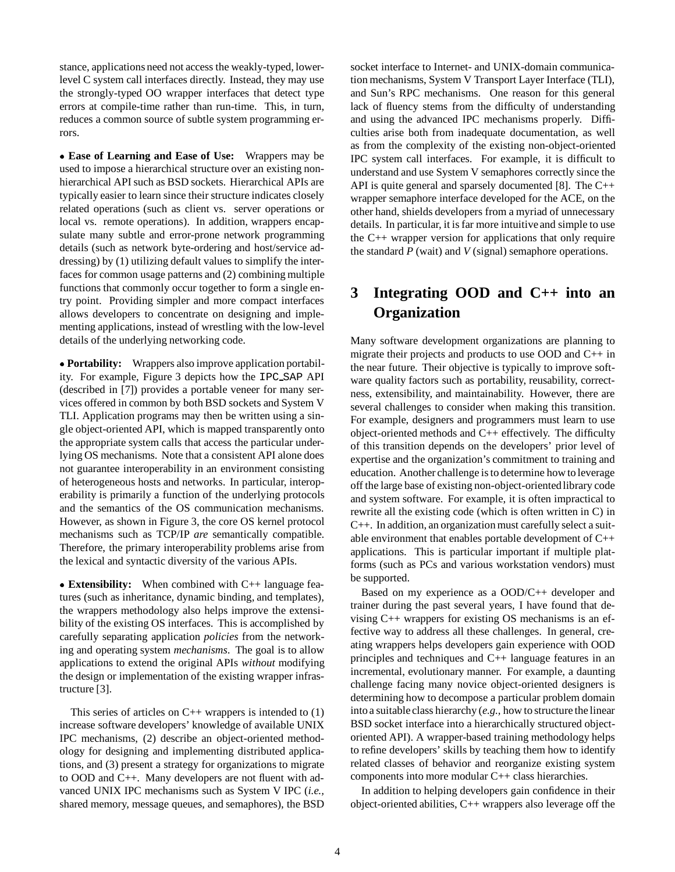stance, applications need not access the weakly-typed, lowerlevel C system call interfaces directly. Instead, they may use the strongly-typed OO wrapper interfaces that detect type errors at compile-time rather than run-time. This, in turn, reduces a common source of subtle system programming errors.

 **Ease of Learning and Ease of Use:** Wrappers may be used to impose a hierarchical structure over an existing nonhierarchical API such as BSD sockets. Hierarchical APIs are typically easier to learn since their structure indicates closely related operations (such as client vs. server operations or local vs. remote operations). In addition, wrappers encapsulate many subtle and error-prone network programming details (such as network byte-ordering and host/service addressing) by (1) utilizing default values to simplify the interfaces for common usage patterns and (2) combining multiple functions that commonly occur together to form a single entry point. Providing simpler and more compact interfaces allows developers to concentrate on designing and implementing applications, instead of wrestling with the low-level details of the underlying networking code.

 **Portability:** Wrappers also improve application portability. For example, Figure 3 depicts how the IPC SAP API (described in [7]) provides a portable veneer for many services offered in common by both BSD sockets and System V TLI. Application programs may then be written using a single object-oriented API, which is mapped transparently onto the appropriate system calls that access the particular underlying OS mechanisms. Note that a consistent API alone does not guarantee interoperability in an environment consisting of heterogeneous hosts and networks. In particular, interoperability is primarily a function of the underlying protocols and the semantics of the OS communication mechanisms. However, as shown in Figure 3, the core OS kernel protocol mechanisms such as TCP/IP *are* semantically compatible. Therefore, the primary interoperability problems arise from the lexical and syntactic diversity of the various APIs.

 **Extensibility:** When combined with C++ language features (such as inheritance, dynamic binding, and templates), the wrappers methodology also helps improve the extensibility of the existing OS interfaces. This is accomplished by carefully separating application *policies* from the networking and operating system *mechanisms*. The goal is to allow applications to extend the original APIs *without* modifying the design or implementation of the existing wrapper infrastructure [3].

This series of articles on  $C_{++}$  wrappers is intended to (1) increase software developers' knowledge of available UNIX IPC mechanisms, (2) describe an object-oriented methodology for designing and implementing distributed applications, and (3) present a strategy for organizations to migrate to OOD and C++. Many developers are not fluent with advanced UNIX IPC mechanisms such as System V IPC (*i.e.,* shared memory, message queues, and semaphores), the BSD

socket interface to Internet- and UNIX-domain communication mechanisms, System V Transport Layer Interface (TLI), and Sun's RPC mechanisms. One reason for this general lack of fluency stems from the difficulty of understanding and using the advanced IPC mechanisms properly. Difficulties arise both from inadequate documentation, as well as from the complexity of the existing non-object-oriented IPC system call interfaces. For example, it is difficult to understand and use System V semaphores correctly since the API is quite general and sparsely documented [8]. The C++ wrapper semaphore interface developed for the ACE, on the other hand, shields developers from a myriad of unnecessary details. In particular, it is far more intuitive and simple to use the C++ wrapper version for applications that only require the standard *P* (wait) and *V* (signal) semaphore operations.

## **3 Integrating OOD and C++ into an Organization**

Many software development organizations are planning to migrate their projects and products to use OOD and C++ in the near future. Their objective is typically to improve software quality factors such as portability, reusability, correctness, extensibility, and maintainability. However, there are several challenges to consider when making this transition. For example, designers and programmers must learn to use object-oriented methods and C++ effectively. The difficulty of this transition depends on the developers' prior level of expertise and the organization's commitment to training and education. Another challenge is to determine how to leverage off the large base of existing non-object-orientedlibrary code and system software. For example, it is often impractical to rewrite all the existing code (which is often written in C) in C++. In addition, an organization must carefully select a suitable environment that enables portable development of C++ applications. This is particular important if multiple platforms (such as PCs and various workstation vendors) must be supported.

Based on my experience as a OOD/C++ developer and trainer during the past several years, I have found that devising C++ wrappers for existing OS mechanisms is an effective way to address all these challenges. In general, creating wrappers helps developers gain experience with OOD principles and techniques and C++ language features in an incremental, evolutionary manner. For example, a daunting challenge facing many novice object-oriented designers is determining how to decompose a particular problem domain intoa suitable class hierarchy (*e.g.,* how to structure the linear BSD socket interface into a hierarchically structured objectoriented API). A wrapper-based training methodology helps to refine developers' skills by teaching them how to identify related classes of behavior and reorganize existing system components into more modular C++ class hierarchies.

In addition to helping developers gain confidence in their object-oriented abilities, C++ wrappers also leverage off the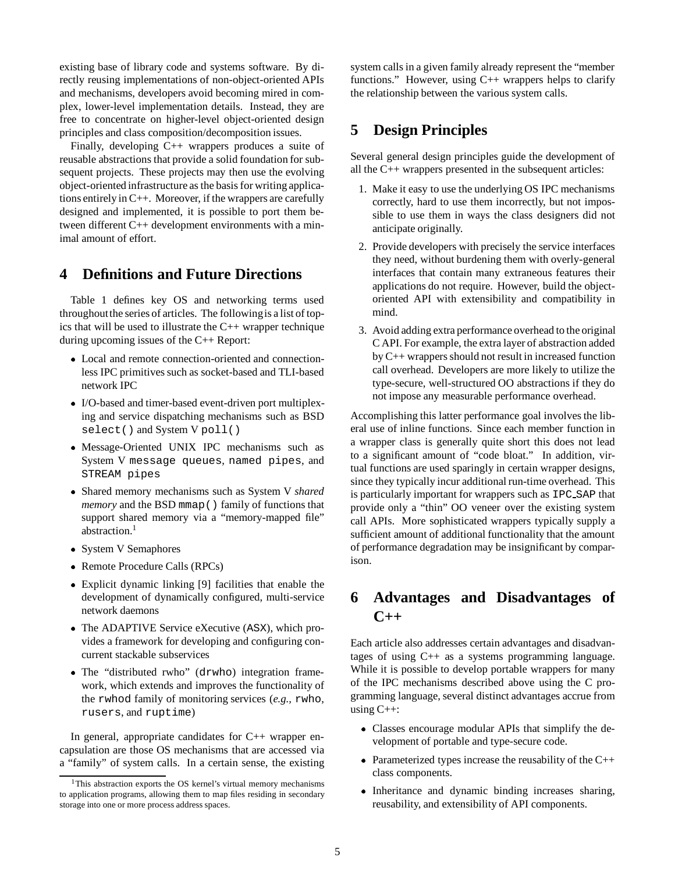existing base of library code and systems software. By directly reusing implementations of non-object-oriented APIs and mechanisms, developers avoid becoming mired in complex, lower-level implementation details. Instead, they are free to concentrate on higher-level object-oriented design principles and class composition/decomposition issues.

Finally, developing C++ wrappers produces a suite of reusable abstractions that provide a solid foundation for subsequent projects. These projects may then use the evolving object-oriented infrastructure as the basis for writing applications entirely in C++. Moreover, if the wrappers are carefully designed and implemented, it is possible to port them between different C++ development environments with a minimal amount of effort.

### **4 Definitions and Future Directions**

Table 1 defines key OS and networking terms used throughoutthe series of articles. The followingis a list of topics that will be used to illustrate the C++ wrapper technique during upcoming issues of the C++ Report:

- Local and remote connection-oriented and connectionless IPC primitives such as socket-based and TLI-based network IPC
- I/O-based and timer-based event-driven port multiplexing and service dispatching mechanisms such as BSD select() and System V poll()
- Message-Oriented UNIX IPC mechanisms such as System V message queues, named pipes, and STREAM pipes
- Shared memory mechanisms such as System V *shared memory* and the BSD mmap() family of functions that support shared memory via a "memory-mapped file" abstraction.<sup>1</sup>
- System V Semaphores
- Remote Procedure Calls (RPCs)
- Explicit dynamic linking [9] facilities that enable the development of dynamically configured, multi-service network daemons
- The ADAPTIVE Service eXecutive (ASX), which provides a framework for developing and configuring concurrent stackable subservices
- The "distributed rwho" (drwho) integration framework, which extends and improves the functionality of the rwhod family of monitoring services (*e.g.,* rwho, rusers, and ruptime)

In general, appropriate candidates for C++ wrapper encapsulation are those OS mechanisms that are accessed via a "family" of system calls. In a certain sense, the existing system calls in a given family already represent the "member functions." However, using  $C_{++}$  wrappers helps to clarify the relationship between the various system calls.

## **5 Design Principles**

Several general design principles guide the development of all the C++ wrappers presented in the subsequent articles:

- 1. Make it easy to use the underlying OS IPC mechanisms correctly, hard to use them incorrectly, but not impossible to use them in ways the class designers did not anticipate originally.
- 2. Provide developers with precisely the service interfaces they need, without burdening them with overly-general interfaces that contain many extraneous features their applications do not require. However, build the objectoriented API with extensibility and compatibility in mind.
- 3. Avoid adding extra performance overhead to the original C API. For example, the extra layer of abstraction added by C++ wrappers should not result in increased function call overhead. Developers are more likely to utilize the type-secure, well-structured OO abstractions if they do not impose any measurable performance overhead.

Accomplishing this latter performance goal involves the liberal use of inline functions. Since each member function in a wrapper class is generally quite short this does not lead to a significant amount of "code bloat." In addition, virtual functions are used sparingly in certain wrapper designs, since they typically incur additional run-time overhead. This is particularly important for wrappers such as IPC SAP that provide only a "thin" OO veneer over the existing system call APIs. More sophisticated wrappers typically supply a sufficient amount of additional functionality that the amount of performance degradation may be insignificant by comparison.

## **6 Advantages and Disadvantages of C++**

Each article also addresses certain advantages and disadvantages of using C++ as a systems programming language. While it is possible to develop portable wrappers for many of the IPC mechanisms described above using the C programming language, several distinct advantages accrue from using  $C_{++}$ :

- Classes encourage modular APIs that simplify the development of portable and type-secure code.
- Parameterized types increase the reusability of the C++ class components.
- Inheritance and dynamic binding increases sharing, reusability, and extensibility of API components.

<sup>&</sup>lt;sup>1</sup>This abstraction exports the OS kernel's virtual memory mechanisms to application programs, allowing them to map files residing in secondary storage into one or more process address spaces.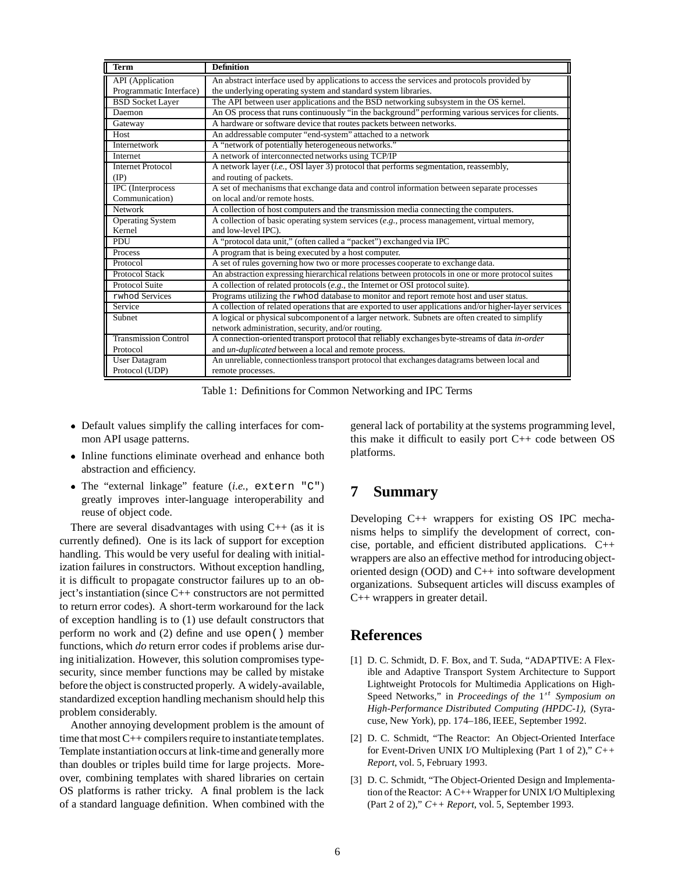| <b>Term</b>                 | <b>Definition</b>                                                                                      |
|-----------------------------|--------------------------------------------------------------------------------------------------------|
| <b>API</b> (Application     | An abstract interface used by applications to access the services and protocols provided by            |
| Programmatic Interface)     | the underlying operating system and standard system libraries.                                         |
| <b>BSD Socket Layer</b>     | The API between user applications and the BSD networking subsystem in the OS kernel.                   |
| Daemon                      | An OS process that runs continuously "in the background" performing various services for clients.      |
| Gateway                     | A hardware or software device that routes packets between networks.                                    |
| Host                        | An addressable computer "end-system" attached to a network                                             |
| Internetwork                | A "network of potentially heterogeneous networks."                                                     |
| Internet                    | A network of interconnected networks using TCP/IP                                                      |
| <b>Internet Protocol</b>    | A network layer ( <i>i.e.</i> , OSI layer 3) protocol that performs segmentation, reassembly,          |
| $(\text{IP})$               | and routing of packets.                                                                                |
| IPC (Interprocess           | A set of mechanisms that exchange data and control information between separate processes              |
| Communication)              | on local and/or remote hosts.                                                                          |
| <b>Network</b>              | A collection of host computers and the transmission media connecting the computers.                    |
| <b>Operating System</b>     | A collection of basic operating system services $(e.g.,$ process management, virtual memory,           |
| Kernel                      | and low-level IPC).                                                                                    |
| PDU                         | A "protocol data unit," (often called a "packet") exchanged via IPC                                    |
| Process                     | A program that is being executed by a host computer.                                                   |
| Protocol                    | A set of rules governing how two or more processes cooperate to exchange data.                         |
| Protocol Stack              | An abstraction expressing hierarchical relations between protocols in one or more protocol suites      |
| Protocol Suite              | A collection of related protocols (e.g., the Internet or OSI protocol suite).                          |
| rwhod Services              | Programs utilizing the rwhod database to monitor and report remote host and user status.               |
| Service                     | A collection of related operations that are exported to user applications and/or higher-layer services |
| Subnet                      | A logical or physical subcomponent of a larger network. Subnets are often created to simplify          |
|                             | network administration, security, and/or routing.                                                      |
| <b>Transmission Control</b> | A connection-oriented transport protocol that reliably exchanges byte-streams of data in-order         |
| Protocol                    | and un-duplicated between a local and remote process.                                                  |
| <b>User Datagram</b>        | An unreliable, connectionless transport protocol that exchanges datagrams between local and            |
| Protocol (UDP)              | remote processes.                                                                                      |

Table 1: Definitions for Common Networking and IPC Terms

- Default values simplify the calling interfaces for common API usage patterns.
- Inline functions eliminate overhead and enhance both abstraction and efficiency.
- The "external linkage" feature (*i.e.,* extern "C") greatly improves inter-language interoperability and reuse of object code.

There are several disadvantages with using  $C++$  (as it is currently defined). One is its lack of support for exception handling. This would be very useful for dealing with initialization failures in constructors. Without exception handling, it is difficult to propagate constructor failures up to an object's instantiation (since C++ constructors are not permitted to return error codes). A short-term workaround for the lack of exception handling is to (1) use default constructors that perform no work and (2) define and use open() member functions, which *do* return error codes if problems arise during initialization. However, this solution compromises typesecurity, since member functions may be called by mistake before the object is constructed properly. A widely-available, standardized exception handling mechanism should help this problem considerably.

Another annoying development problem is the amount of time that most C++ compilers require to instantiate templates. Template instantiation occurs at link-time and generally more than doubles or triples build time for large projects. Moreover, combining templates with shared libraries on certain OS platforms is rather tricky. A final problem is the lack of a standard language definition. When combined with the

general lack of portability at the systems programming level, this make it difficult to easily port  $C++$  code between OS platforms.

## **7 Summary**

Developing C++ wrappers for existing OS IPC mechanisms helps to simplify the development of correct, concise, portable, and efficient distributed applications. C++ wrappers are also an effective method for introducing objectoriented design (OOD) and C++ into software development organizations. Subsequent articles will discuss examples of C++ wrappers in greater detail.

## **References**

- [1] D. C. Schmidt, D. F. Box, and T. Suda, "ADAPTIVE: A Flexible and Adaptive Transport System Architecture to Support Lightweight Protocols for Multimedia Applications on High-Speed Networks," in *Proceedings of the* 1<sup>st</sup> *Symposium on High-Performance Distributed Computing (HPDC-1)*, (Syracuse, New York), pp. 174–186, IEEE, September 1992.
- [2] D. C. Schmidt, "The Reactor: An Object-Oriented Interface for Event-Driven UNIX I/O Multiplexing (Part 1 of 2)," *C++ Report*, vol. 5, February 1993.
- [3] D. C. Schmidt, "The Object-Oriented Design and Implementation of the Reactor: A C++ Wrapper for UNIX I/O Multiplexing (Part 2 of 2)," *C++ Report*, vol. 5, September 1993.